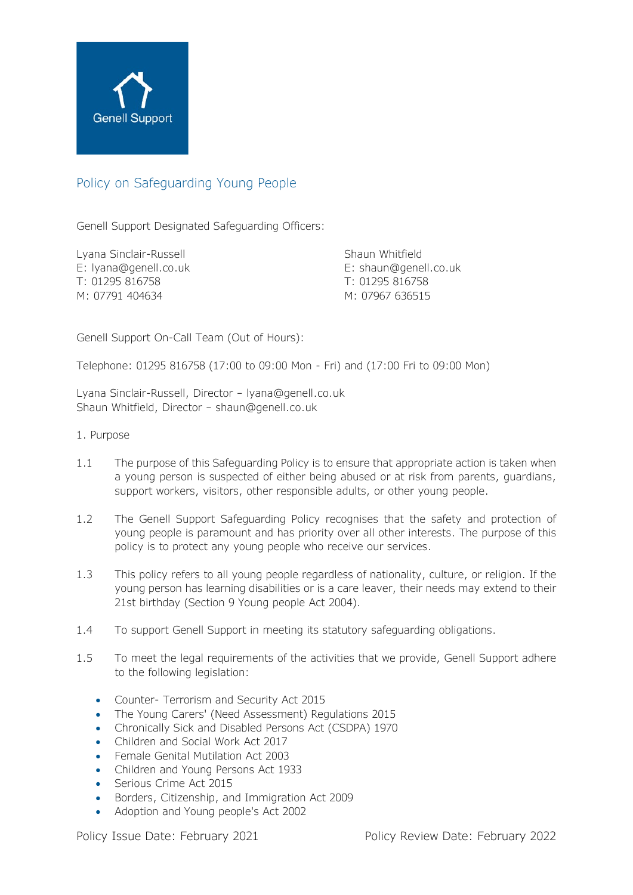

# Policy on Safeguarding Young People

Genell Support Designated Safeguarding Officers:

Lyana Sinclair-Russell Shaun Whitfield T: 01295 816758 T: 01295 816758 M: 07791 404634 M: 07967 636515

E: [lyana@genell.co.uk](mailto:lyana@genell.co.uk) E: shaun@genell.co.uk

Genell Support On-Call Team (Out of Hours):

Telephone: 01295 816758 (17:00 to 09:00 Mon - Fri) and (17:00 Fri to 09:00 Mon)

Lyana Sinclair-Russell, Director – [lyana@genell.co.uk](mailto:lyana@genell.co.uk) Shaun Whitfield, Director – [shaun@genell.co.uk](mailto:shaun@genell.co.uk)

- 1. Purpose
- 1.1 The purpose of this Safeguarding Policy is to ensure that appropriate action is taken when a young person is suspected of either being abused or at risk from parents, guardians, support workers, visitors, other responsible adults, or other young people.
- 1.2 The Genell Support Safeguarding Policy recognises that the safety and protection of young people is paramount and has priority over all other interests. The purpose of this policy is to protect any young people who receive our services.
- 1.3 This policy refers to all young people regardless of nationality, culture, or religion. If the young person has learning disabilities or is a care leaver, their needs may extend to their 21st birthday (Section 9 Young people Act 2004).
- 1.4 To support Genell Support in meeting its statutory safeguarding obligations.
- 1.5 To meet the legal requirements of the activities that we provide, Genell Support adhere to the following legislation:
	- Counter- Terrorism and Security Act 2015
	- The Young Carers' (Need Assessment) Regulations 2015
	- Chronically Sick and Disabled Persons Act (CSDPA) 1970
	- Children and Social Work Act 2017
	- Female Genital Mutilation Act 2003
	- Children and Young Persons Act 1933
	- Serious Crime Act 2015
	- Borders, Citizenship, and Immigration Act 2009
	- Adoption and Young people's Act 2002

Policy Issue Date: February 2021 Policy Review Date: February 2022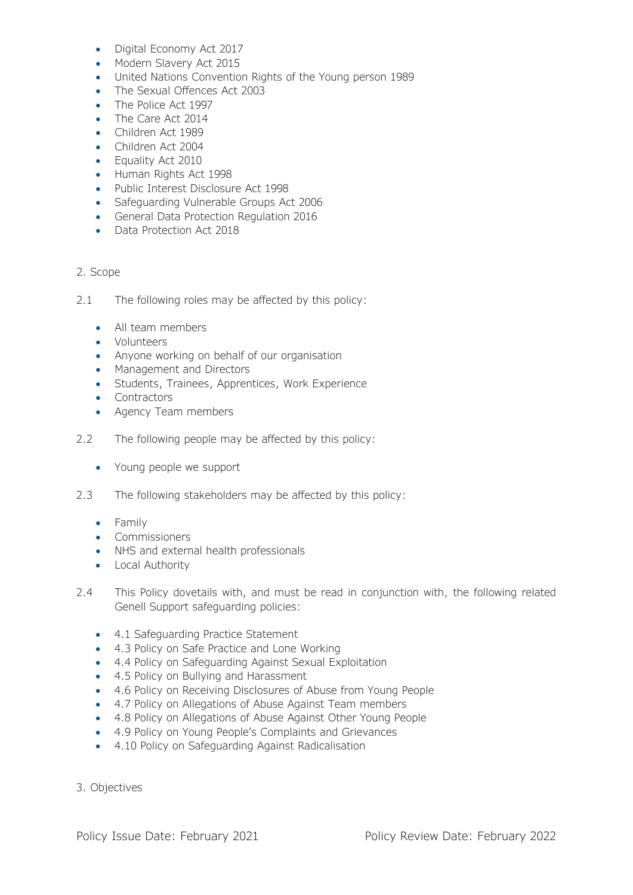- Digital Economy Act 2017
- Modern Slavery Act 2015
- United Nations Convention Rights of the Young person 1989
- The Sexual Offences Act 2003
- The Police Act 1997
- The Care Act 2014
- Children Act 1989
- Children Act 2004
- Equality Act 2010
- Human Rights Act 1998
- Public Interest Disclosure Act 1998
- Safeguarding Vulnerable Groups Act 2006
- General Data Protection Regulation 2016
- Data Protection Act 2018

## 2. Scope

- 2.1 The following roles may be affected by this policy:
	- All team members
	- Volunteers
	- Anyone working on behalf of our organisation
	- Management and Directors
	- Students, Trainees, Apprentices, Work Experience
	- Contractors
	- Agency Team members
- 2.2 The following people may be affected by this policy:
	- Young people we support
- 2.3 The following stakeholders may be affected by this policy:
	- Family
	- Commissioners
	- NHS and external health professionals
	- Local Authority
- 2.4 This Policy dovetails with, and must be read in conjunction with, the following related Genell Support safeguarding policies:
	- 4.1 Safeguarding Practice Statement
	- 4.3 Policy on Safe Practice and Lone Working
	- 4.4 Policy on Safeguarding Against Sexual Exploitation
	- 4.5 Policy on Bullying and Harassment
	- 4.6 Policy on Receiving Disclosures of Abuse from Young People
	- 4.7 Policy on Allegations of Abuse Against Team members
	- 4.8 Policy on Allegations of Abuse Against Other Young People
	- 4.9 Policy on Young People's Complaints and Grievances
	- 4.10 Policy on Safeguarding Against Radicalisation
- 3. Objectives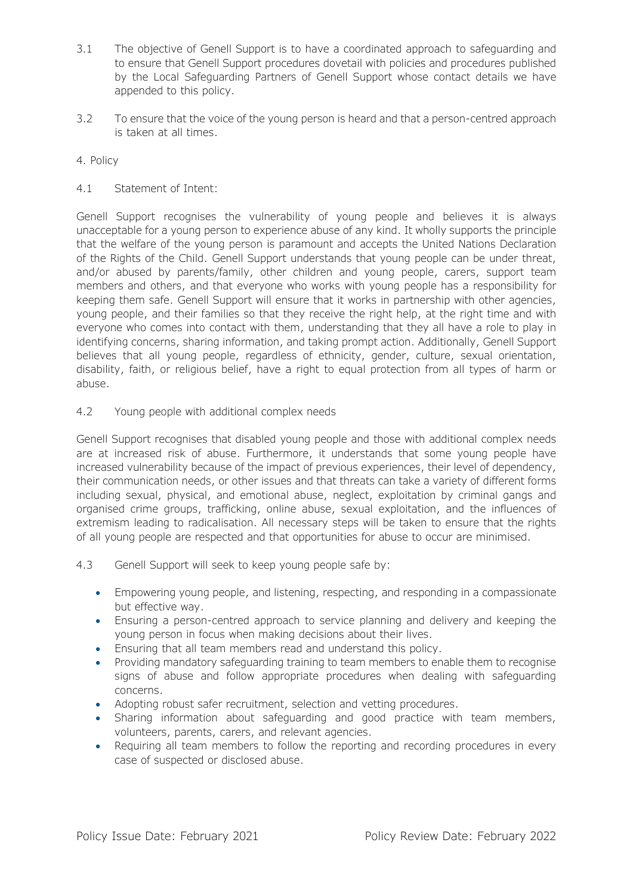- 3.1 The objective of Genell Support is to have a coordinated approach to safeguarding and to ensure that Genell Support procedures dovetail with policies and procedures published by the Local Safeguarding Partners of Genell Support whose contact details we have appended to this policy.
- 3.2 To ensure that the voice of the young person is heard and that a person-centred approach is taken at all times.

## 4. Policy

## 4.1 Statement of Intent:

Genell Support recognises the vulnerability of young people and believes it is always unacceptable for a young person to experience abuse of any kind. It wholly supports the principle that the welfare of the young person is paramount and accepts the United Nations Declaration of the Rights of the Child. Genell Support understands that young people can be under threat, and/or abused by parents/family, other children and young people, carers, support team members and others, and that everyone who works with young people has a responsibility for keeping them safe. Genell Support will ensure that it works in partnership with other agencies, young people, and their families so that they receive the right help, at the right time and with everyone who comes into contact with them, understanding that they all have a role to play in identifying concerns, sharing information, and taking prompt action. Additionally, Genell Support believes that all young people, regardless of ethnicity, gender, culture, sexual orientation, disability, faith, or religious belief, have a right to equal protection from all types of harm or abuse.

### 4.2 Young people with additional complex needs

Genell Support recognises that disabled young people and those with additional complex needs are at increased risk of abuse. Furthermore, it understands that some young people have increased vulnerability because of the impact of previous experiences, their level of dependency, their communication needs, or other issues and that threats can take a variety of different forms including sexual, physical, and emotional abuse, neglect, exploitation by criminal gangs and organised crime groups, trafficking, online abuse, sexual exploitation, and the influences of extremism leading to radicalisation. All necessary steps will be taken to ensure that the rights of all young people are respected and that opportunities for abuse to occur are minimised.

4.3 Genell Support will seek to keep young people safe by:

- Empowering young people, and listening, respecting, and responding in a compassionate but effective way.
- Ensuring a person-centred approach to service planning and delivery and keeping the young person in focus when making decisions about their lives.
- Ensuring that all team members read and understand this policy.
- Providing mandatory safeguarding training to team members to enable them to recognise signs of abuse and follow appropriate procedures when dealing with safeguarding concerns.
- Adopting robust safer recruitment, selection and vetting procedures.
- Sharing information about safeguarding and good practice with team members, volunteers, parents, carers, and relevant agencies.
- Requiring all team members to follow the reporting and recording procedures in every case of suspected or disclosed abuse.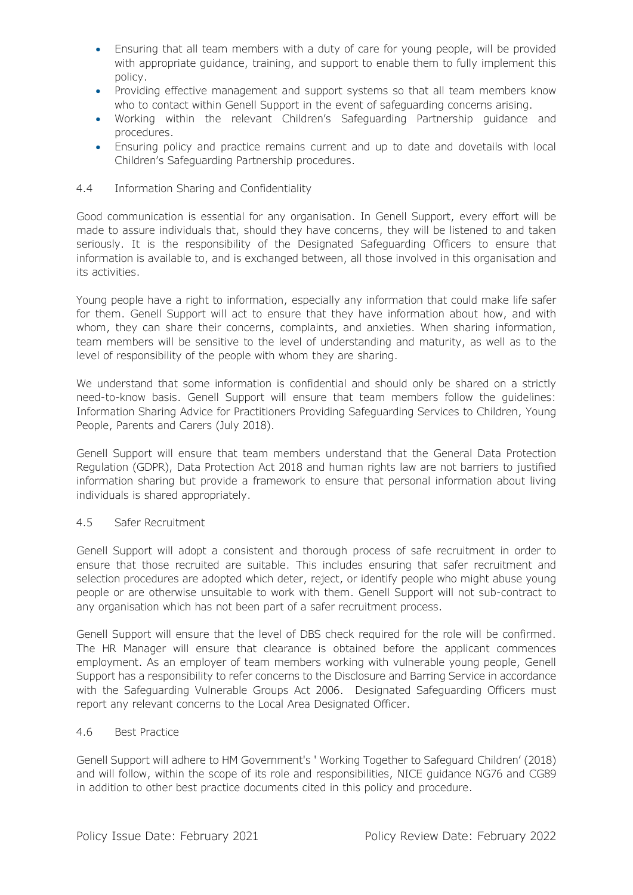- Ensuring that all team members with a duty of care for young people, will be provided with appropriate guidance, training, and support to enable them to fully implement this policy.
- Providing effective management and support systems so that all team members know who to contact within Genell Support in the event of safeguarding concerns arising.
- Working within the relevant Children's Safeguarding Partnership guidance and procedures.
- Ensuring policy and practice remains current and up to date and dovetails with local Children's Safeguarding Partnership procedures.

### 4.4 Information Sharing and Confidentiality

Good communication is essential for any organisation. In Genell Support, every effort will be made to assure individuals that, should they have concerns, they will be listened to and taken seriously. It is the responsibility of the Designated Safeguarding Officers to ensure that information is available to, and is exchanged between, all those involved in this organisation and its activities.

Young people have a right to information, especially any information that could make life safer for them. Genell Support will act to ensure that they have information about how, and with whom, they can share their concerns, complaints, and anxieties. When sharing information, team members will be sensitive to the level of understanding and maturity, as well as to the level of responsibility of the people with whom they are sharing.

We understand that some information is confidential and should only be shared on a strictly need-to-know basis. Genell Support will ensure that team members follow the guidelines: Information Sharing Advice for Practitioners Providing Safeguarding Services to Children, Young People, Parents and Carers (July 2018).

Genell Support will ensure that team members understand that the General Data Protection Regulation (GDPR), Data Protection Act 2018 and human rights law are not barriers to justified information sharing but provide a framework to ensure that personal information about living individuals is shared appropriately.

### 4.5 Safer Recruitment

Genell Support will adopt a consistent and thorough process of safe recruitment in order to ensure that those recruited are suitable. This includes ensuring that safer recruitment and selection procedures are adopted which deter, reject, or identify people who might abuse young people or are otherwise unsuitable to work with them. Genell Support will not sub-contract to any organisation which has not been part of a safer recruitment process.

Genell Support will ensure that the level of DBS check required for the role will be confirmed. The HR Manager will ensure that clearance is obtained before the applicant commences employment. As an employer of team members working with vulnerable young people, Genell Support has a responsibility to refer concerns to the Disclosure and Barring Service in accordance with the Safeguarding Vulnerable Groups Act 2006. Designated Safeguarding Officers must report any relevant concerns to the Local Area Designated Officer.

### 4.6 Best Practice

Genell Support will adhere to HM Government's ' Working Together to Safeguard Children' (2018) and will follow, within the scope of its role and responsibilities, NICE guidance NG76 and CG89 in addition to other best practice documents cited in this policy and procedure.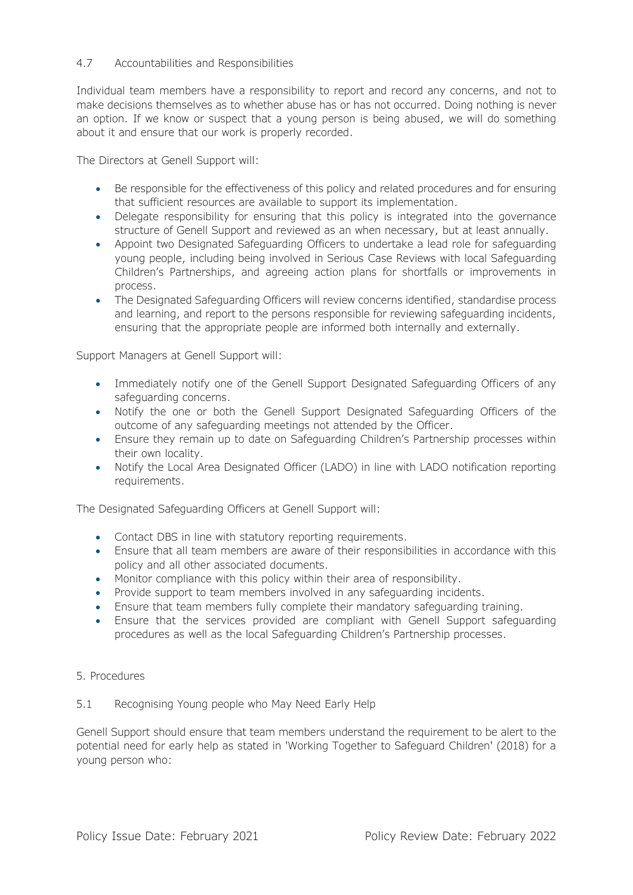## 4.7 Accountabilities and Responsibilities

Individual team members have a responsibility to report and record any concerns, and not to make decisions themselves as to whether abuse has or has not occurred. Doing nothing is never an option. If we know or suspect that a young person is being abused, we will do something about it and ensure that our work is properly recorded.

The Directors at Genell Support will:

- Be responsible for the effectiveness of this policy and related procedures and for ensuring that sufficient resources are available to support its implementation.
- Delegate responsibility for ensuring that this policy is integrated into the governance structure of Genell Support and reviewed as an when necessary, but at least annually.
- Appoint two Designated Safeguarding Officers to undertake a lead role for safeguarding young people, including being involved in Serious Case Reviews with local Safeguarding Children's Partnerships, and agreeing action plans for shortfalls or improvements in process.
- The Designated Safeguarding Officers will review concerns identified, standardise process and learning, and report to the persons responsible for reviewing safeguarding incidents, ensuring that the appropriate people are informed both internally and externally.

Support Managers at Genell Support will:

- Immediately notify one of the Genell Support Designated Safeguarding Officers of any safeguarding concerns.
- Notify the one or both the Genell Support Designated Safeguarding Officers of the outcome of any safeguarding meetings not attended by the Officer.
- Ensure they remain up to date on Safeguarding Children's Partnership processes within their own locality.
- Notify the Local Area Designated Officer (LADO) in line with LADO notification reporting requirements.

The Designated Safeguarding Officers at Genell Support will:

- Contact DBS in line with statutory reporting requirements.
- Ensure that all team members are aware of their responsibilities in accordance with this policy and all other associated documents.
- Monitor compliance with this policy within their area of responsibility.
- Provide support to team members involved in any safeguarding incidents.
- Ensure that team members fully complete their mandatory safeguarding training.
- Ensure that the services provided are compliant with Genell Support safeguarding procedures as well as the local Safeguarding Children's Partnership processes.
- 5. Procedures

### 5.1 Recognising Young people who May Need Early Help

Genell Support should ensure that team members understand the requirement to be alert to the potential need for early help as stated in 'Working Together to Safeguard Children' (2018) for a young person who: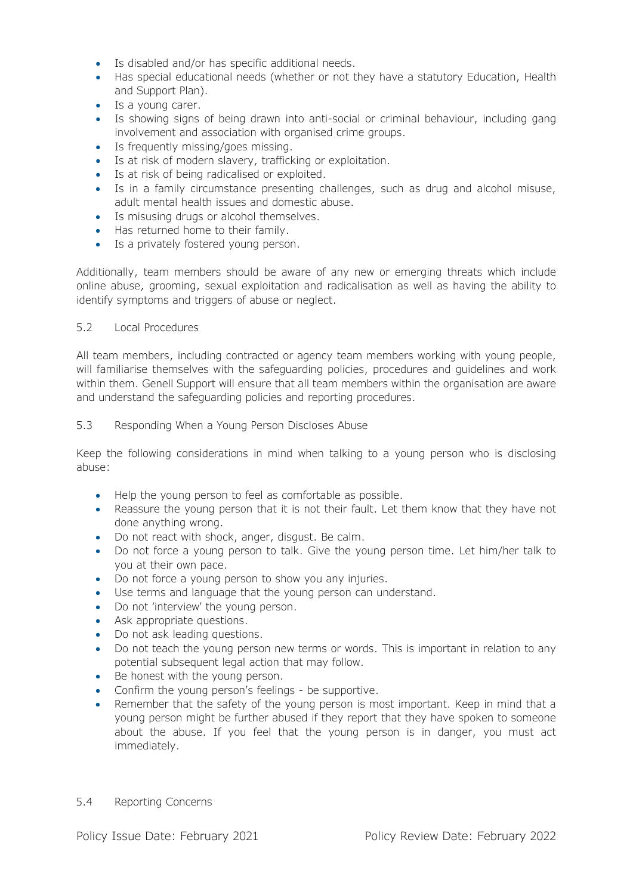- Is disabled and/or has specific additional needs.
- Has special educational needs (whether or not they have a statutory Education, Health and Support Plan).
- Is a young carer.
- Is showing signs of being drawn into anti-social or criminal behaviour, including gang involvement and association with organised crime groups.
- Is frequently missing/goes missing.
- Is at risk of modern slavery, trafficking or exploitation.
- Is at risk of being radicalised or exploited.
- Is in a family circumstance presenting challenges, such as drug and alcohol misuse, adult mental health issues and domestic abuse.
- Is misusing drugs or alcohol themselves.
- Has returned home to their family.
- Is a privately fostered young person.

Additionally, team members should be aware of any new or emerging threats which include online abuse, grooming, sexual exploitation and radicalisation as well as having the ability to identify symptoms and triggers of abuse or neglect.

## 5.2 Local Procedures

All team members, including contracted or agency team members working with young people, will familiarise themselves with the safeguarding policies, procedures and guidelines and work within them. Genell Support will ensure that all team members within the organisation are aware and understand the safeguarding policies and reporting procedures.

### 5.3 Responding When a Young Person Discloses Abuse

Keep the following considerations in mind when talking to a young person who is disclosing abuse:

- Help the young person to feel as comfortable as possible.
- Reassure the young person that it is not their fault. Let them know that they have not done anything wrong.
- Do not react with shock, anger, disgust. Be calm.
- Do not force a young person to talk. Give the young person time. Let him/her talk to you at their own pace.
- Do not force a young person to show you any injuries.
- Use terms and language that the young person can understand.
- Do not 'interview' the young person.
- Ask appropriate questions.
- Do not ask leading questions.
- Do not teach the young person new terms or words. This is important in relation to any potential subsequent legal action that may follow.
- Be honest with the young person.
- Confirm the young person's feelings be supportive.
- Remember that the safety of the young person is most important. Keep in mind that a young person might be further abused if they report that they have spoken to someone about the abuse. If you feel that the young person is in danger, you must act immediately.
- 5.4 Reporting Concerns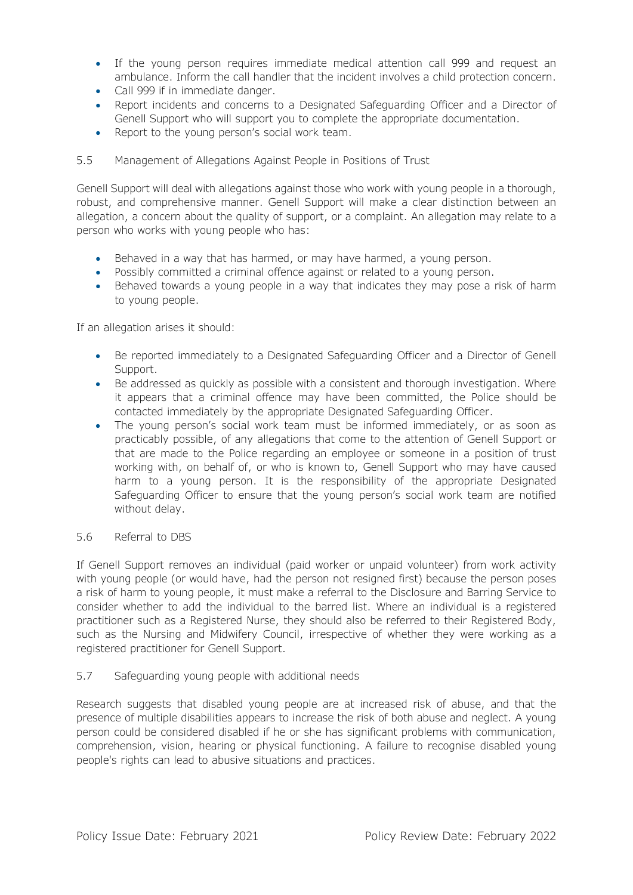- If the young person requires immediate medical attention call 999 and request an ambulance. Inform the call handler that the incident involves a child protection concern.
- Call 999 if in immediate danger.
- Report incidents and concerns to a Designated Safeguarding Officer and a Director of Genell Support who will support you to complete the appropriate documentation.
- Report to the young person's social work team.

## 5.5 Management of Allegations Against People in Positions of Trust

Genell Support will deal with allegations against those who work with young people in a thorough, robust, and comprehensive manner. Genell Support will make a clear distinction between an allegation, a concern about the quality of support, or a complaint. An allegation may relate to a person who works with young people who has:

- Behaved in a way that has harmed, or may have harmed, a young person.
- Possibly committed a criminal offence against or related to a young person.
- Behaved towards a young people in a way that indicates they may pose a risk of harm to young people.

If an allegation arises it should:

- Be reported immediately to a Designated Safeguarding Officer and a Director of Genell Support.
- Be addressed as quickly as possible with a consistent and thorough investigation. Where it appears that a criminal offence may have been committed, the Police should be contacted immediately by the appropriate Designated Safeguarding Officer.
- The young person's social work team must be informed immediately, or as soon as practicably possible, of any allegations that come to the attention of Genell Support or that are made to the Police regarding an employee or someone in a position of trust working with, on behalf of, or who is known to, Genell Support who may have caused harm to a young person. It is the responsibility of the appropriate Designated Safeguarding Officer to ensure that the young person's social work team are notified without delay.

## 5.6 Referral to DBS

If Genell Support removes an individual (paid worker or unpaid volunteer) from work activity with young people (or would have, had the person not resigned first) because the person poses a risk of harm to young people, it must make a referral to the Disclosure and Barring Service to consider whether to add the individual to the barred list. Where an individual is a registered practitioner such as a Registered Nurse, they should also be referred to their Registered Body, such as the Nursing and Midwifery Council, irrespective of whether they were working as a registered practitioner for Genell Support.

### 5.7 Safeguarding young people with additional needs

Research suggests that disabled young people are at increased risk of abuse, and that the presence of multiple disabilities appears to increase the risk of both abuse and neglect. A young person could be considered disabled if he or she has significant problems with communication, comprehension, vision, hearing or physical functioning. A failure to recognise disabled young people's rights can lead to abusive situations and practices.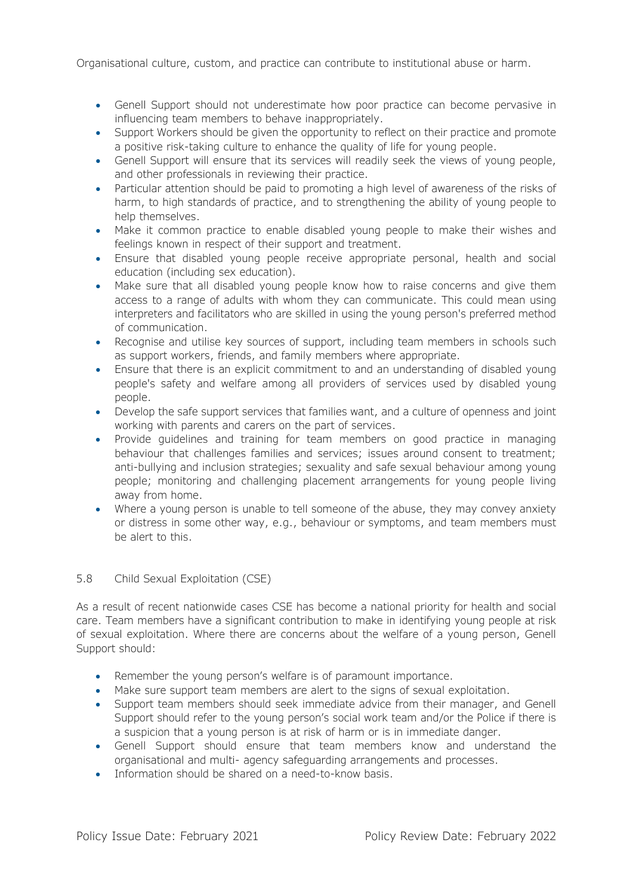Organisational culture, custom, and practice can contribute to institutional abuse or harm.

- Genell Support should not underestimate how poor practice can become pervasive in influencing team members to behave inappropriately.
- Support Workers should be given the opportunity to reflect on their practice and promote a positive risk-taking culture to enhance the quality of life for young people.
- Genell Support will ensure that its services will readily seek the views of young people, and other professionals in reviewing their practice.
- Particular attention should be paid to promoting a high level of awareness of the risks of harm, to high standards of practice, and to strengthening the ability of young people to help themselves.
- Make it common practice to enable disabled young people to make their wishes and feelings known in respect of their support and treatment.
- Ensure that disabled young people receive appropriate personal, health and social education (including sex education).
- Make sure that all disabled young people know how to raise concerns and give them access to a range of adults with whom they can communicate. This could mean using interpreters and facilitators who are skilled in using the young person's preferred method of communication.
- Recognise and utilise key sources of support, including team members in schools such as support workers, friends, and family members where appropriate.
- Ensure that there is an explicit commitment to and an understanding of disabled young people's safety and welfare among all providers of services used by disabled young people.
- Develop the safe support services that families want, and a culture of openness and joint working with parents and carers on the part of services.
- Provide guidelines and training for team members on good practice in managing behaviour that challenges families and services; issues around consent to treatment; anti-bullying and inclusion strategies; sexuality and safe sexual behaviour among young people; monitoring and challenging placement arrangements for young people living away from home.
- Where a young person is unable to tell someone of the abuse, they may convey anxiety or distress in some other way, e.g., behaviour or symptoms, and team members must be alert to this.

## 5.8 Child Sexual Exploitation (CSE)

As a result of recent nationwide cases CSE has become a national priority for health and social care. Team members have a significant contribution to make in identifying young people at risk of sexual exploitation. Where there are concerns about the welfare of a young person, Genell Support should:

- Remember the young person's welfare is of paramount importance.
- Make sure support team members are alert to the signs of sexual exploitation.
- Support team members should seek immediate advice from their manager, and Genell Support should refer to the young person's social work team and/or the Police if there is a suspicion that a young person is at risk of harm or is in immediate danger.
- Genell Support should ensure that team members know and understand the organisational and multi- agency safeguarding arrangements and processes.
- Information should be shared on a need-to-know basis.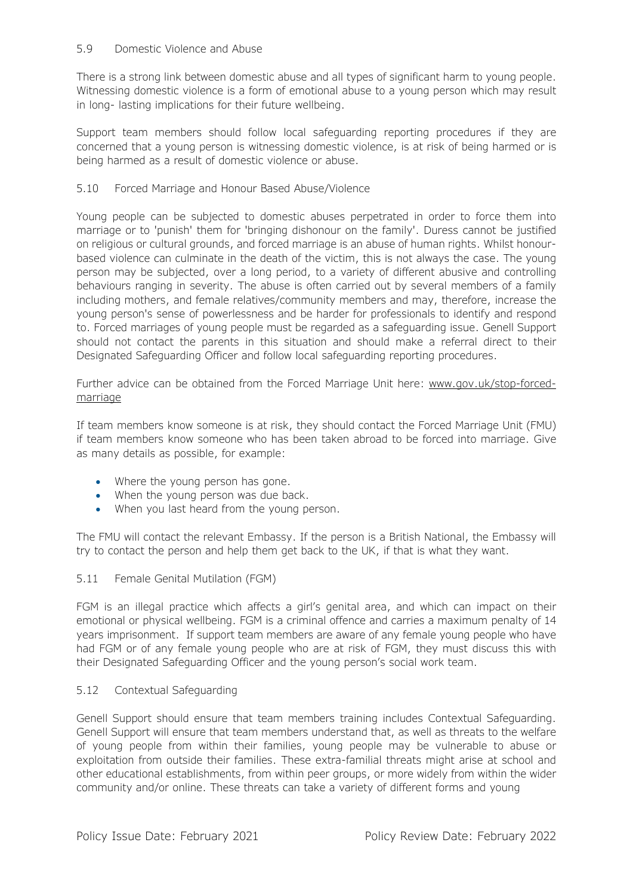### 5.9 Domestic Violence and Abuse

There is a strong link between domestic abuse and all types of significant harm to young people. Witnessing domestic violence is a form of emotional abuse to a young person which may result in long- lasting implications for their future wellbeing.

Support team members should follow local safeguarding reporting procedures if they are concerned that a young person is witnessing domestic violence, is at risk of being harmed or is being harmed as a result of domestic violence or abuse.

## 5.10 Forced Marriage and Honour Based Abuse/Violence

Young people can be subjected to domestic abuses perpetrated in order to force them into marriage or to 'punish' them for 'bringing dishonour on the family'. Duress cannot be justified on religious or cultural grounds, and forced marriage is an abuse of human rights. Whilst honourbased violence can culminate in the death of the victim, this is not always the case. The young person may be subjected, over a long period, to a variety of different abusive and controlling behaviours ranging in severity. The abuse is often carried out by several members of a family including mothers, and female relatives/community members and may, therefore, increase the young person's sense of powerlessness and be harder for professionals to identify and respond to. Forced marriages of young people must be regarded as a safeguarding issue. Genell Support should not contact the parents in this situation and should make a referral direct to their Designated Safeguarding Officer and follow local safeguarding reporting procedures.

Further advice can be obtained from the Forced Marriage Unit here: [www.gov.uk/stop-forced](http://www.gov.uk/stop-forced-marriage)[marriage](http://www.gov.uk/stop-forced-marriage)

If team members know someone is at risk, they should contact the Forced Marriage Unit (FMU) if team members know someone who has been taken abroad to be forced into marriage. Give as many details as possible, for example:

- Where the young person has gone.
- When the young person was due back.
- When you last heard from the young person.

The FMU will contact the relevant Embassy. If the person is a British National, the Embassy will try to contact the person and help them get back to the UK, if that is what they want.

## 5.11 Female Genital Mutilation (FGM)

FGM is an illegal practice which affects a girl's genital area, and which can impact on their emotional or physical wellbeing. FGM is a criminal offence and carries a maximum penalty of 14 years imprisonment. If support team members are aware of any female young people who have had FGM or of any female young people who are at risk of FGM, they must discuss this with their Designated Safeguarding Officer and the young person's social work team.

### 5.12 Contextual Safeguarding

Genell Support should ensure that team members training includes Contextual Safeguarding. Genell Support will ensure that team members understand that, as well as threats to the welfare of young people from within their families, young people may be vulnerable to abuse or exploitation from outside their families. These extra-familial threats might arise at school and other educational establishments, from within peer groups, or more widely from within the wider community and/or online. These threats can take a variety of different forms and young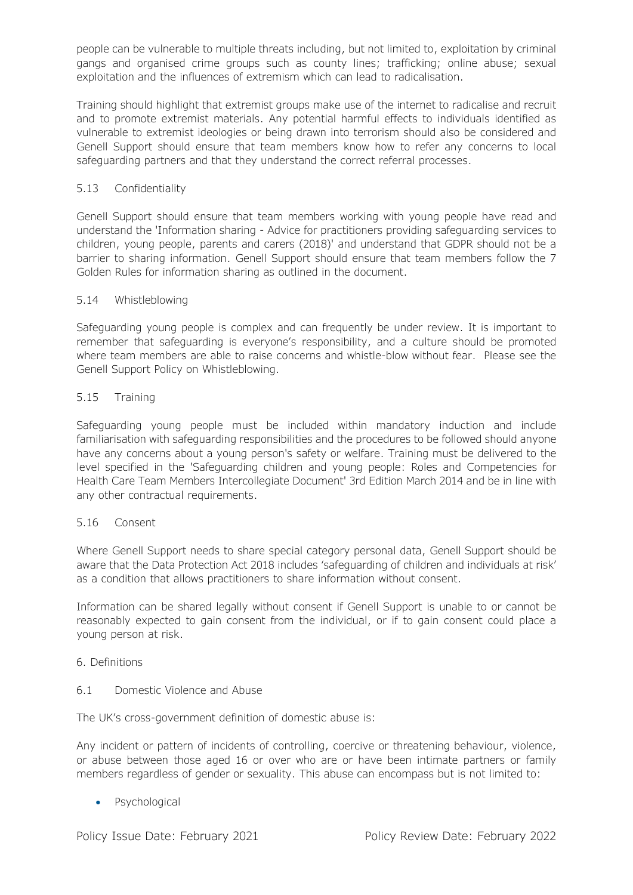people can be vulnerable to multiple threats including, but not limited to, exploitation by criminal gangs and organised crime groups such as county lines; trafficking; online abuse; sexual exploitation and the influences of extremism which can lead to radicalisation.

Training should highlight that extremist groups make use of the internet to radicalise and recruit and to promote extremist materials. Any potential harmful effects to individuals identified as vulnerable to extremist ideologies or being drawn into terrorism should also be considered and Genell Support should ensure that team members know how to refer any concerns to local safeguarding partners and that they understand the correct referral processes.

## 5.13 Confidentiality

Genell Support should ensure that team members working with young people have read and understand the 'Information sharing - Advice for practitioners providing safeguarding services to children, young people, parents and carers (2018)' and understand that GDPR should not be a barrier to sharing information. Genell Support should ensure that team members follow the 7 Golden Rules for information sharing as outlined in the document.

## 5.14 Whistleblowing

Safeguarding young people is complex and can frequently be under review. It is important to remember that safeguarding is everyone's responsibility, and a culture should be promoted where team members are able to raise concerns and whistle-blow without fear. Please see the Genell Support Policy on Whistleblowing.

## 5.15 Training

Safeguarding young people must be included within mandatory induction and include familiarisation with safeguarding responsibilities and the procedures to be followed should anyone have any concerns about a young person's safety or welfare. Training must be delivered to the level specified in the 'Safeguarding children and young people: Roles and Competencies for Health Care Team Members Intercollegiate Document' 3rd Edition March 2014 and be in line with any other contractual requirements.

## 5.16 Consent

Where Genell Support needs to share special category personal data, Genell Support should be aware that the Data Protection Act 2018 includes 'safeguarding of children and individuals at risk' as a condition that allows practitioners to share information without consent.

Information can be shared legally without consent if Genell Support is unable to or cannot be reasonably expected to gain consent from the individual, or if to gain consent could place a young person at risk.

## 6. Definitions

### 6.1 Domestic Violence and Abuse

The UK's cross-government definition of domestic abuse is:

Any incident or pattern of incidents of controlling, coercive or threatening behaviour, violence, or abuse between those aged 16 or over who are or have been intimate partners or family members regardless of gender or sexuality. This abuse can encompass but is not limited to:

## • Psychological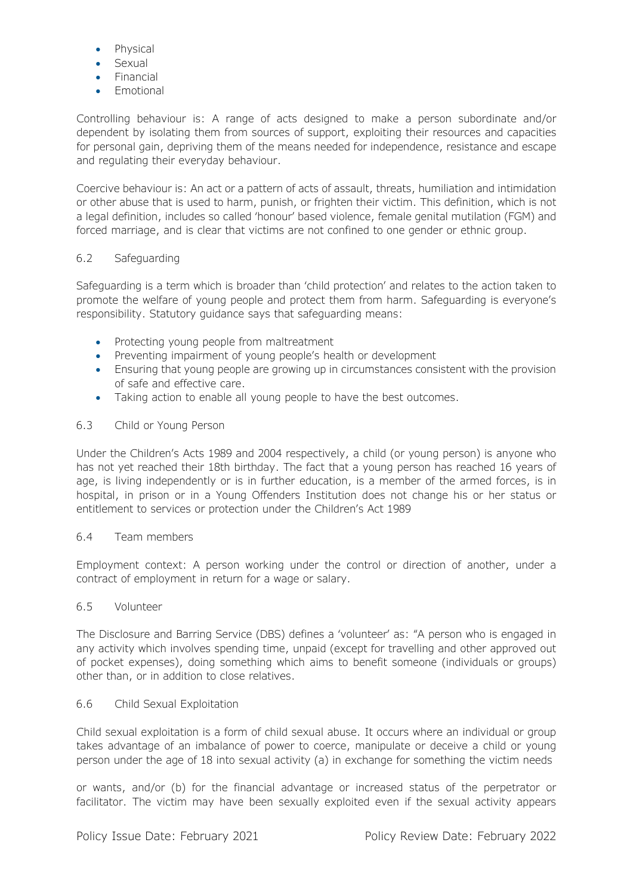- Physical
- Sexual
- Financial
- Emotional

Controlling behaviour is: A range of acts designed to make a person subordinate and/or dependent by isolating them from sources of support, exploiting their resources and capacities for personal gain, depriving them of the means needed for independence, resistance and escape and regulating their everyday behaviour.

Coercive behaviour is: An act or a pattern of acts of assault, threats, humiliation and intimidation or other abuse that is used to harm, punish, or frighten their victim. This definition, which is not a legal definition, includes so called 'honour' based violence, female genital mutilation (FGM) and forced marriage, and is clear that victims are not confined to one gender or ethnic group.

## 6.2 Safeguarding

Safeguarding is a term which is broader than 'child protection' and relates to the action taken to promote the welfare of young people and protect them from harm. Safeguarding is everyone's responsibility. Statutory guidance says that safeguarding means:

- Protecting young people from maltreatment
- Preventing impairment of young people's health or development
- Ensuring that young people are growing up in circumstances consistent with the provision of safe and effective care.
- Taking action to enable all young people to have the best outcomes.

## 6.3 Child or Young Person

Under the Children's Acts 1989 and 2004 respectively, a child (or young person) is anyone who has not yet reached their 18th birthday. The fact that a young person has reached 16 years of age, is living independently or is in further education, is a member of the armed forces, is in hospital, in prison or in a Young Offenders Institution does not change his or her status or entitlement to services or protection under the Children's Act 1989

## 6.4 Team members

Employment context: A person working under the control or direction of another, under a contract of employment in return for a wage or salary.

## 6.5 Volunteer

The Disclosure and Barring Service (DBS) defines a 'volunteer' as: "A person who is engaged in any activity which involves spending time, unpaid (except for travelling and other approved out of pocket expenses), doing something which aims to benefit someone (individuals or groups) other than, or in addition to close relatives.

## 6.6 Child Sexual Exploitation

Child sexual exploitation is a form of child sexual abuse. It occurs where an individual or group takes advantage of an imbalance of power to coerce, manipulate or deceive a child or young person under the age of 18 into sexual activity (a) in exchange for something the victim needs

or wants, and/or (b) for the financial advantage or increased status of the perpetrator or facilitator. The victim may have been sexually exploited even if the sexual activity appears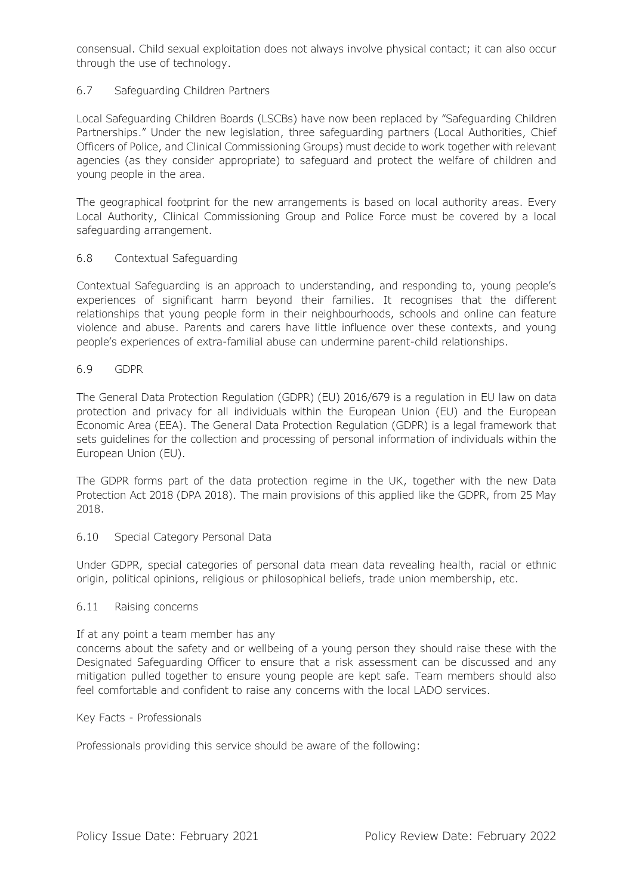consensual. Child sexual exploitation does not always involve physical contact; it can also occur through the use of technology.

## 6.7 Safeguarding Children Partners

Local Safeguarding Children Boards (LSCBs) have now been replaced by "Safeguarding Children Partnerships." Under the new legislation, three safeguarding partners (Local Authorities, Chief Officers of Police, and Clinical Commissioning Groups) must decide to work together with relevant agencies (as they consider appropriate) to safeguard and protect the welfare of children and young people in the area.

The geographical footprint for the new arrangements is based on local authority areas. Every Local Authority, Clinical Commissioning Group and Police Force must be covered by a local safeguarding arrangement.

### 6.8 Contextual Safeguarding

Contextual Safeguarding is an approach to understanding, and responding to, young people's experiences of significant harm beyond their families. It recognises that the different relationships that young people form in their neighbourhoods, schools and online can feature violence and abuse. Parents and carers have little influence over these contexts, and young people's experiences of extra-familial abuse can undermine parent-child relationships.

## 6.9 GDPR

The General Data Protection Regulation (GDPR) (EU) 2016/679 is a regulation in EU law on data protection and privacy for all individuals within the European Union (EU) and the European Economic Area (EEA). The General Data Protection Regulation (GDPR) is a legal framework that sets guidelines for the collection and processing of personal information of individuals within the European Union (EU).

The GDPR forms part of the data protection regime in the UK, together with the new Data Protection Act 2018 (DPA 2018). The main provisions of this applied like the GDPR, from 25 May 2018.

### 6.10 Special Category Personal Data

Under GDPR, special categories of personal data mean data revealing health, racial or ethnic origin, political opinions, religious or philosophical beliefs, trade union membership, etc.

### 6.11 Raising concerns

### If at any point a team member has any

concerns about the safety and or wellbeing of a young person they should raise these with the Designated Safeguarding Officer to ensure that a risk assessment can be discussed and any mitigation pulled together to ensure young people are kept safe. Team members should also feel comfortable and confident to raise any concerns with the local LADO services.

### Key Facts - Professionals

Professionals providing this service should be aware of the following: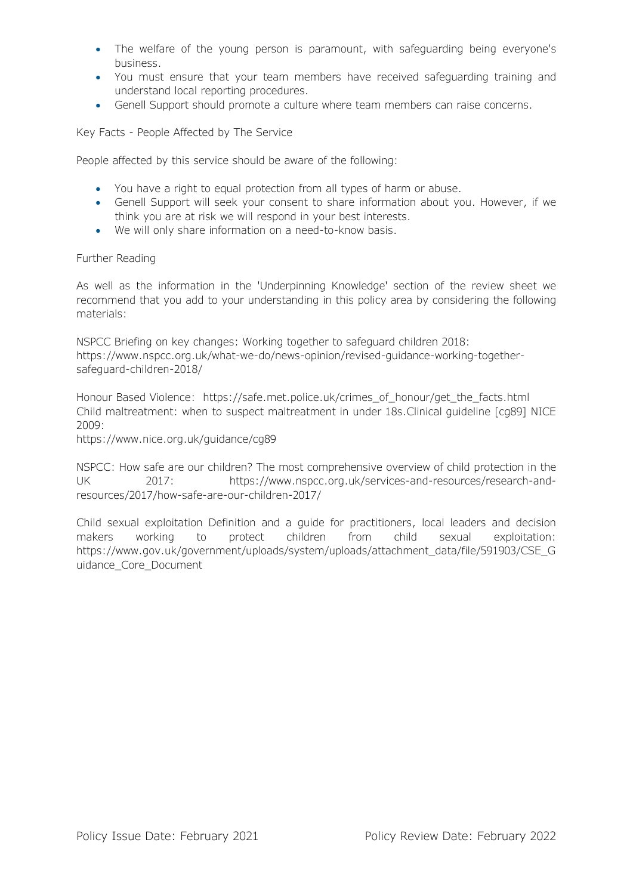- The welfare of the young person is paramount, with safeguarding being everyone's business.
- You must ensure that your team members have received safeguarding training and understand local reporting procedures.
- Genell Support should promote a culture where team members can raise concerns.

Key Facts - People Affected by The Service

People affected by this service should be aware of the following:

- You have a right to equal protection from all types of harm or abuse.
- Genell Support will seek your consent to share information about you. However, if we think you are at risk we will respond in your best interests.
- We will only share information on a need-to-know basis.

### Further Reading

As well as the information in the 'Underpinning Knowledge' section of the review sheet we recommend that you add to your understanding in this policy area by considering the following materials:

NSPCC Briefing on key changes: Working together to safeguard children 2018: https://www.nspcc.org.uk/what-we-do/news-opinion/revised-guidance-working-togethersafeguard-children-2018/

Honour Based Violence: https://safe.met.police.uk/crimes\_of\_honour/get\_the\_facts.html Child maltreatment: when to suspect maltreatment in under 18s.Clinical guideline [cg89] NICE 2009:

https://www.nice.org.uk/guidance/cg89

NSPCC: How safe are our children? The most comprehensive overview of child protection in the UK 2017: https://www.nspcc.org.uk/services-and-resources/research-andresources/2017/how-safe-are-our-children-2017/

Child sexual exploitation Definition and a guide for practitioners, local leaders and decision makers working to protect children from child sexual exploitation: https://www.gov.uk/government/uploads/system/uploads/attachment\_data/file/591903/CSE\_G uidance\_Core\_Document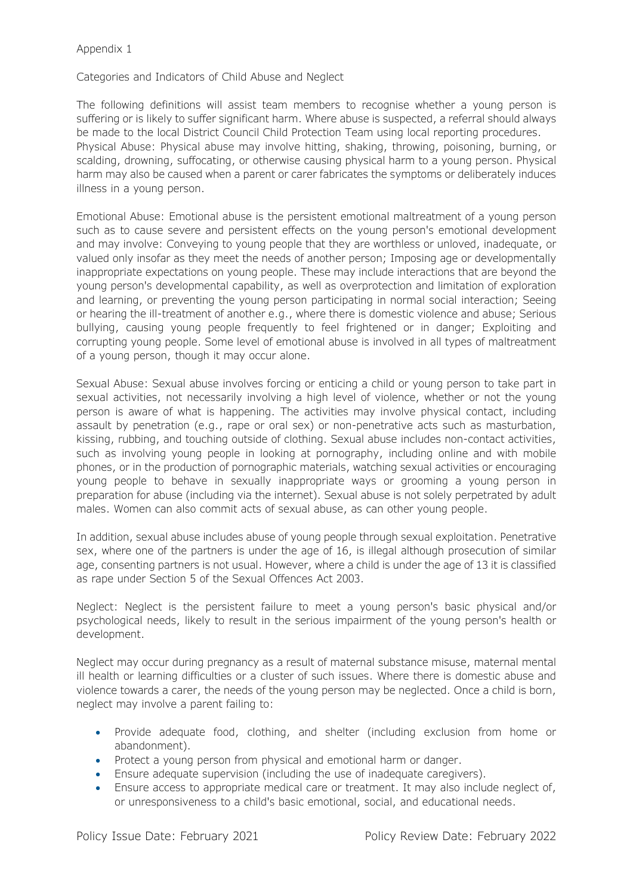Categories and Indicators of Child Abuse and Neglect

The following definitions will assist team members to recognise whether a young person is suffering or is likely to suffer significant harm. Where abuse is suspected, a referral should always be made to the local District Council Child Protection Team using local reporting procedures. Physical Abuse: Physical abuse may involve hitting, shaking, throwing, poisoning, burning, or scalding, drowning, suffocating, or otherwise causing physical harm to a young person. Physical harm may also be caused when a parent or carer fabricates the symptoms or deliberately induces illness in a young person.

Emotional Abuse: Emotional abuse is the persistent emotional maltreatment of a young person such as to cause severe and persistent effects on the young person's emotional development and may involve: Conveying to young people that they are worthless or unloved, inadequate, or valued only insofar as they meet the needs of another person; Imposing age or developmentally inappropriate expectations on young people. These may include interactions that are beyond the young person's developmental capability, as well as overprotection and limitation of exploration and learning, or preventing the young person participating in normal social interaction; Seeing or hearing the ill-treatment of another e.g., where there is domestic violence and abuse; Serious bullying, causing young people frequently to feel frightened or in danger; Exploiting and corrupting young people. Some level of emotional abuse is involved in all types of maltreatment of a young person, though it may occur alone.

Sexual Abuse: Sexual abuse involves forcing or enticing a child or young person to take part in sexual activities, not necessarily involving a high level of violence, whether or not the young person is aware of what is happening. The activities may involve physical contact, including assault by penetration (e.g., rape or oral sex) or non-penetrative acts such as masturbation, kissing, rubbing, and touching outside of clothing. Sexual abuse includes non-contact activities, such as involving young people in looking at pornography, including online and with mobile phones, or in the production of pornographic materials, watching sexual activities or encouraging young people to behave in sexually inappropriate ways or grooming a young person in preparation for abuse (including via the internet). Sexual abuse is not solely perpetrated by adult males. Women can also commit acts of sexual abuse, as can other young people.

In addition, sexual abuse includes abuse of young people through sexual exploitation. Penetrative sex, where one of the partners is under the age of 16, is illegal although prosecution of similar age, consenting partners is not usual. However, where a child is under the age of 13 it is classified as rape under Section 5 of the Sexual Offences Act 2003.

Neglect: Neglect is the persistent failure to meet a young person's basic physical and/or psychological needs, likely to result in the serious impairment of the young person's health or development.

Neglect may occur during pregnancy as a result of maternal substance misuse, maternal mental ill health or learning difficulties or a cluster of such issues. Where there is domestic abuse and violence towards a carer, the needs of the young person may be neglected. Once a child is born, neglect may involve a parent failing to:

- Provide adequate food, clothing, and shelter (including exclusion from home or abandonment).
- Protect a young person from physical and emotional harm or danger.
- Ensure adequate supervision (including the use of inadequate caregivers).
- Ensure access to appropriate medical care or treatment. It may also include neglect of, or unresponsiveness to a child's basic emotional, social, and educational needs.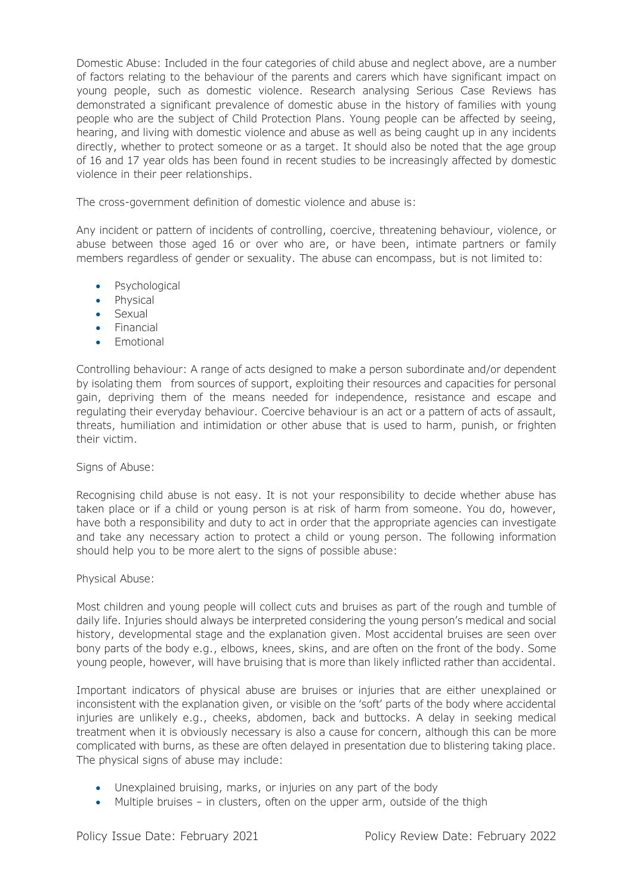Domestic Abuse: Included in the four categories of child abuse and neglect above, are a number of factors relating to the behaviour of the parents and carers which have significant impact on young people, such as domestic violence. Research analysing Serious Case Reviews has demonstrated a significant prevalence of domestic abuse in the history of families with young people who are the subject of Child Protection Plans. Young people can be affected by seeing, hearing, and living with domestic violence and abuse as well as being caught up in any incidents directly, whether to protect someone or as a target. It should also be noted that the age group of 16 and 17 year olds has been found in recent studies to be increasingly affected by domestic violence in their peer relationships.

The cross-government definition of domestic violence and abuse is:

Any incident or pattern of incidents of controlling, coercive, threatening behaviour, violence, or abuse between those aged 16 or over who are, or have been, intimate partners or family members regardless of gender or sexuality. The abuse can encompass, but is not limited to:

- Psychological
- Physical
- Sexual
- Financial
- **Emotional**

Controlling behaviour: A range of acts designed to make a person subordinate and/or dependent by isolating them from sources of support, exploiting their resources and capacities for personal gain, depriving them of the means needed for independence, resistance and escape and regulating their everyday behaviour. Coercive behaviour is an act or a pattern of acts of assault, threats, humiliation and intimidation or other abuse that is used to harm, punish, or frighten their victim.

## Signs of Abuse:

Recognising child abuse is not easy. It is not your responsibility to decide whether abuse has taken place or if a child or young person is at risk of harm from someone. You do, however, have both a responsibility and duty to act in order that the appropriate agencies can investigate and take any necessary action to protect a child or young person. The following information should help you to be more alert to the signs of possible abuse:

### Physical Abuse:

Most children and young people will collect cuts and bruises as part of the rough and tumble of daily life. Injuries should always be interpreted considering the young person's medical and social history, developmental stage and the explanation given. Most accidental bruises are seen over bony parts of the body e.g., elbows, knees, skins, and are often on the front of the body. Some young people, however, will have bruising that is more than likely inflicted rather than accidental.

Important indicators of physical abuse are bruises or injuries that are either unexplained or inconsistent with the explanation given, or visible on the 'soft' parts of the body where accidental injuries are unlikely e.g., cheeks, abdomen, back and buttocks. A delay in seeking medical treatment when it is obviously necessary is also a cause for concern, although this can be more complicated with burns, as these are often delayed in presentation due to blistering taking place. The physical signs of abuse may include:

- Unexplained bruising, marks, or injuries on any part of the body
- Multiple bruises in clusters, often on the upper arm, outside of the thigh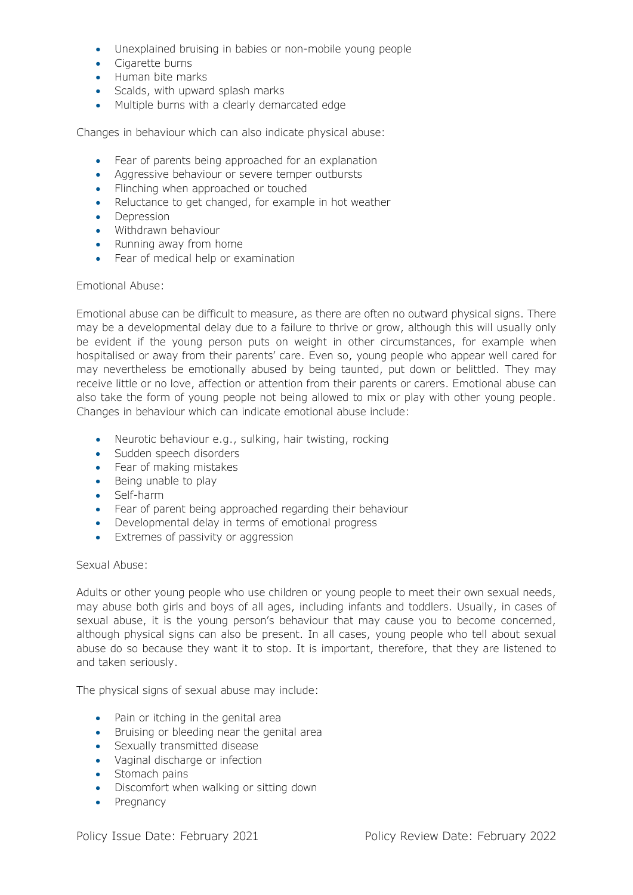- Unexplained bruising in babies or non-mobile young people
- Cigarette burns
- Human bite marks
- Scalds, with upward splash marks
- Multiple burns with a clearly demarcated edge

Changes in behaviour which can also indicate physical abuse:

- Fear of parents being approached for an explanation
- Aggressive behaviour or severe temper outbursts
- Flinching when approached or touched
- Reluctance to get changed, for example in hot weather
- Depression
- Withdrawn behaviour
- Running away from home
- Fear of medical help or examination

### Emotional Abuse:

Emotional abuse can be difficult to measure, as there are often no outward physical signs. There may be a developmental delay due to a failure to thrive or grow, although this will usually only be evident if the young person puts on weight in other circumstances, for example when hospitalised or away from their parents' care. Even so, young people who appear well cared for may nevertheless be emotionally abused by being taunted, put down or belittled. They may receive little or no love, affection or attention from their parents or carers. Emotional abuse can also take the form of young people not being allowed to mix or play with other young people. Changes in behaviour which can indicate emotional abuse include:

- Neurotic behaviour e.g., sulking, hair twisting, rocking
- Sudden speech disorders
- Fear of making mistakes
- Being unable to play
- Self-harm
- Fear of parent being approached regarding their behaviour
- Developmental delay in terms of emotional progress
- Extremes of passivity or aggression

### Sexual Abuse:

Adults or other young people who use children or young people to meet their own sexual needs, may abuse both girls and boys of all ages, including infants and toddlers. Usually, in cases of sexual abuse, it is the young person's behaviour that may cause you to become concerned, although physical signs can also be present. In all cases, young people who tell about sexual abuse do so because they want it to stop. It is important, therefore, that they are listened to and taken seriously.

The physical signs of sexual abuse may include:

- Pain or itching in the genital area
- Bruising or bleeding near the genital area
- Sexually transmitted disease
- Vaginal discharge or infection
- Stomach pains
- Discomfort when walking or sitting down
- Pregnancy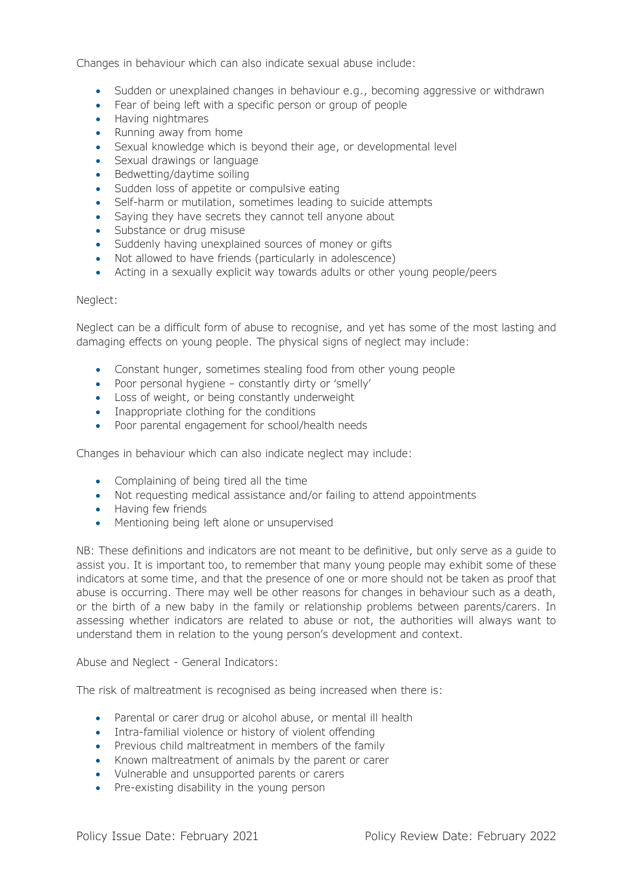Changes in behaviour which can also indicate sexual abuse include:

- Sudden or unexplained changes in behaviour e.g., becoming aggressive or withdrawn
- Fear of being left with a specific person or group of people
- Having nightmares
- Running away from home
- Sexual knowledge which is beyond their age, or developmental level
- Sexual drawings or language
- Bedwetting/daytime soiling
- Sudden loss of appetite or compulsive eating
- Self-harm or mutilation, sometimes leading to suicide attempts
- Saying they have secrets they cannot tell anyone about
- Substance or drug misuse
- Suddenly having unexplained sources of money or gifts
- Not allowed to have friends (particularly in adolescence)
- Acting in a sexually explicit way towards adults or other young people/peers

### Neglect:

Neglect can be a difficult form of abuse to recognise, and yet has some of the most lasting and damaging effects on young people. The physical signs of neglect may include:

- Constant hunger, sometimes stealing food from other young people
- Poor personal hygiene constantly dirty or 'smelly'
- Loss of weight, or being constantly underweight
- Inappropriate clothing for the conditions
- Poor parental engagement for school/health needs

Changes in behaviour which can also indicate neglect may include:

- Complaining of being tired all the time
- Not requesting medical assistance and/or failing to attend appointments
- Having few friends
- Mentioning being left alone or unsupervised

NB: These definitions and indicators are not meant to be definitive, but only serve as a guide to assist you. It is important too, to remember that many young people may exhibit some of these indicators at some time, and that the presence of one or more should not be taken as proof that abuse is occurring. There may well be other reasons for changes in behaviour such as a death, or the birth of a new baby in the family or relationship problems between parents/carers. In assessing whether indicators are related to abuse or not, the authorities will always want to understand them in relation to the young person's development and context.

Abuse and Neglect - General Indicators:

The risk of maltreatment is recognised as being increased when there is:

- Parental or carer drug or alcohol abuse, or mental ill health
- Intra-familial violence or history of violent offending
- Previous child maltreatment in members of the family
- Known maltreatment of animals by the parent or carer
- Vulnerable and unsupported parents or carers
- Pre-existing disability in the young person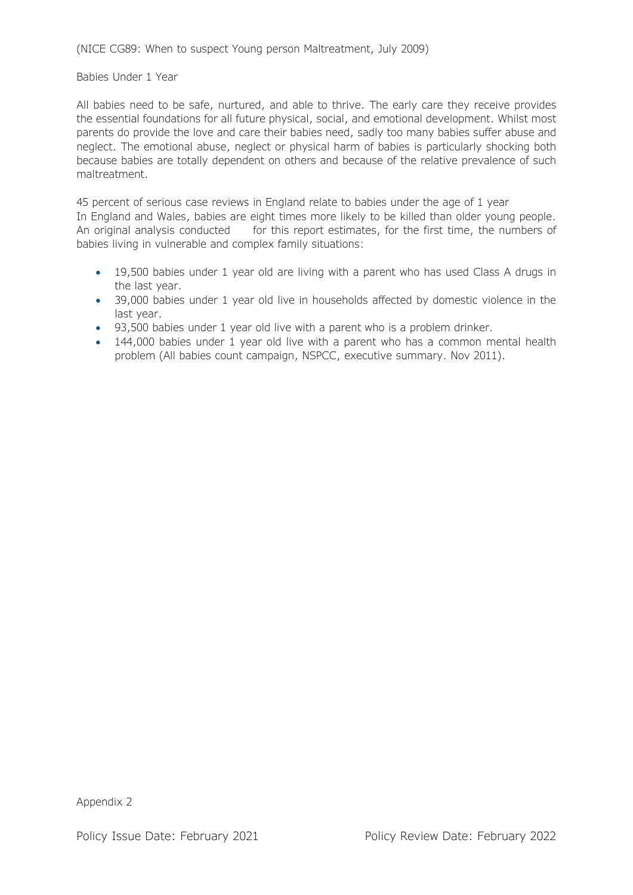(NICE CG89: When to suspect Young person Maltreatment, July 2009)

### Babies Under 1 Year

All babies need to be safe, nurtured, and able to thrive. The early care they receive provides the essential foundations for all future physical, social, and emotional development. Whilst most parents do provide the love and care their babies need, sadly too many babies suffer abuse and neglect. The emotional abuse, neglect or physical harm of babies is particularly shocking both because babies are totally dependent on others and because of the relative prevalence of such maltreatment.

45 percent of serious case reviews in England relate to babies under the age of 1 year In England and Wales, babies are eight times more likely to be killed than older young people. An original analysis conducted for this report estimates, for the first time, the numbers of babies living in vulnerable and complex family situations:

- 19,500 babies under 1 year old are living with a parent who has used Class A drugs in the last year.
- 39,000 babies under 1 year old live in households affected by domestic violence in the last year.
- 93,500 babies under 1 year old live with a parent who is a problem drinker.
- 144,000 babies under 1 year old live with a parent who has a common mental health problem (All babies count campaign, NSPCC, executive summary. Nov 2011).

Appendix 2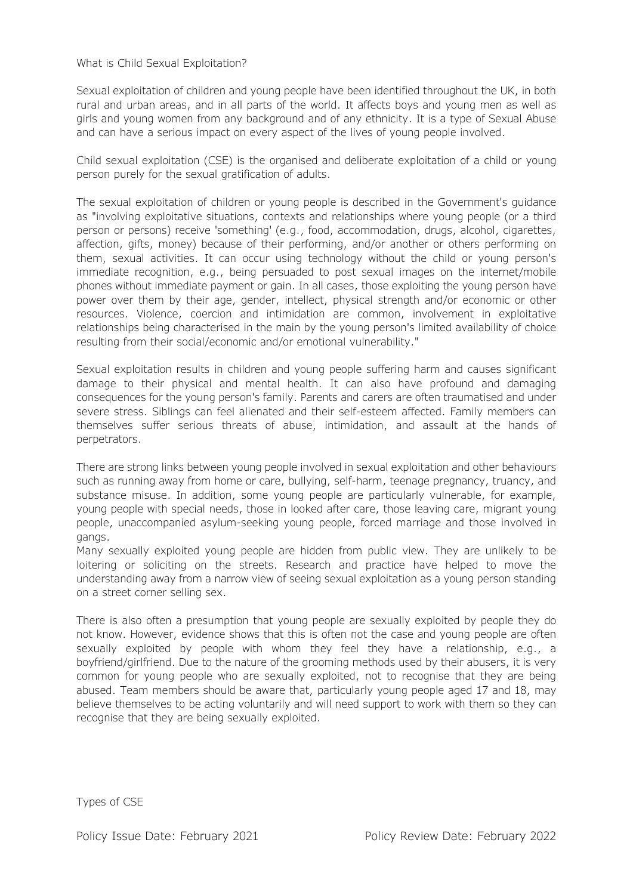### What is Child Sexual Exploitation?

Sexual exploitation of children and young people have been identified throughout the UK, in both rural and urban areas, and in all parts of the world. It affects boys and young men as well as girls and young women from any background and of any ethnicity. It is a type of Sexual Abuse and can have a serious impact on every aspect of the lives of young people involved.

Child sexual exploitation (CSE) is the organised and deliberate exploitation of a child or young person purely for the sexual gratification of adults.

The sexual exploitation of children or young people is described in the Government's guidance as "involving exploitative situations, contexts and relationships where young people (or a third person or persons) receive 'something' (e.g., food, accommodation, drugs, alcohol, cigarettes, affection, gifts, money) because of their performing, and/or another or others performing on them, sexual activities. It can occur using technology without the child or young person's immediate recognition, e.g., being persuaded to post sexual images on the internet/mobile phones without immediate payment or gain. In all cases, those exploiting the young person have power over them by their age, gender, intellect, physical strength and/or economic or other resources. Violence, coercion and intimidation are common, involvement in exploitative relationships being characterised in the main by the young person's limited availability of choice resulting from their social/economic and/or emotional vulnerability."

Sexual exploitation results in children and young people suffering harm and causes significant damage to their physical and mental health. It can also have profound and damaging consequences for the young person's family. Parents and carers are often traumatised and under severe stress. Siblings can feel alienated and their self-esteem affected. Family members can themselves suffer serious threats of abuse, intimidation, and assault at the hands of perpetrators.

There are strong links between young people involved in sexual exploitation and other behaviours such as running away from home or care, bullying, self-harm, teenage pregnancy, truancy, and substance misuse. In addition, some young people are particularly vulnerable, for example, young people with special needs, those in looked after care, those leaving care, migrant young people, unaccompanied asylum-seeking young people, forced marriage and those involved in gangs.

Many sexually exploited young people are hidden from public view. They are unlikely to be loitering or soliciting on the streets. Research and practice have helped to move the understanding away from a narrow view of seeing sexual exploitation as a young person standing on a street corner selling sex.

There is also often a presumption that young people are sexually exploited by people they do not know. However, evidence shows that this is often not the case and young people are often sexually exploited by people with whom they feel they have a relationship, e.g., a boyfriend/girlfriend. Due to the nature of the grooming methods used by their abusers, it is very common for young people who are sexually exploited, not to recognise that they are being abused. Team members should be aware that, particularly young people aged 17 and 18, may believe themselves to be acting voluntarily and will need support to work with them so they can recognise that they are being sexually exploited.

Types of CSE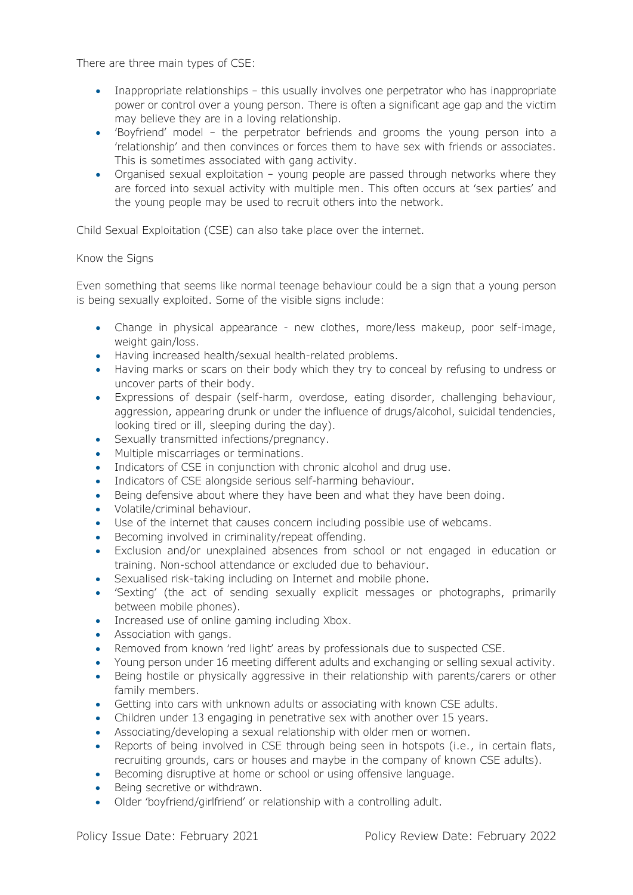There are three main types of CSE:

- Inappropriate relationships this usually involves one perpetrator who has inappropriate power or control over a young person. There is often a significant age gap and the victim may believe they are in a loving relationship.
- 'Boyfriend' model the perpetrator befriends and grooms the young person into a 'relationship' and then convinces or forces them to have sex with friends or associates. This is sometimes associated with gang activity.
- Organised sexual exploitation young people are passed through networks where they are forced into sexual activity with multiple men. This often occurs at 'sex parties' and the young people may be used to recruit others into the network.

Child Sexual Exploitation (CSE) can also take place over the internet.

## Know the Signs

Even something that seems like normal teenage behaviour could be a sign that a young person is being sexually exploited. Some of the visible signs include:

- Change in physical appearance new clothes, more/less makeup, poor self-image, weight gain/loss.
- Having increased health/sexual health-related problems.
- Having marks or scars on their body which they try to conceal by refusing to undress or uncover parts of their body.
- Expressions of despair (self-harm, overdose, eating disorder, challenging behaviour, aggression, appearing drunk or under the influence of drugs/alcohol, suicidal tendencies, looking tired or ill, sleeping during the day).
- Sexually transmitted infections/pregnancy.
- Multiple miscarriages or terminations.
- Indicators of CSE in conjunction with chronic alcohol and drug use.
- Indicators of CSE alongside serious self-harming behaviour.
- Being defensive about where they have been and what they have been doing.
- Volatile/criminal behaviour.
- Use of the internet that causes concern including possible use of webcams.
- Becoming involved in criminality/repeat offending.
- Exclusion and/or unexplained absences from school or not engaged in education or training. Non-school attendance or excluded due to behaviour.
- Sexualised risk-taking including on Internet and mobile phone.
- 'Sexting' (the act of sending sexually explicit messages or photographs, primarily between mobile phones).
- Increased use of online gaming including Xbox.
- Association with gangs.
- Removed from known 'red light' areas by professionals due to suspected CSE.
- Young person under 16 meeting different adults and exchanging or selling sexual activity.
- Being hostile or physically aggressive in their relationship with parents/carers or other family members.
- Getting into cars with unknown adults or associating with known CSE adults.
- Children under 13 engaging in penetrative sex with another over 15 years.
- Associating/developing a sexual relationship with older men or women.
- Reports of being involved in CSE through being seen in hotspots (i.e., in certain flats, recruiting grounds, cars or houses and maybe in the company of known CSE adults).
- Becoming disruptive at home or school or using offensive language.
- Being secretive or withdrawn.
- Older 'boyfriend/girlfriend' or relationship with a controlling adult.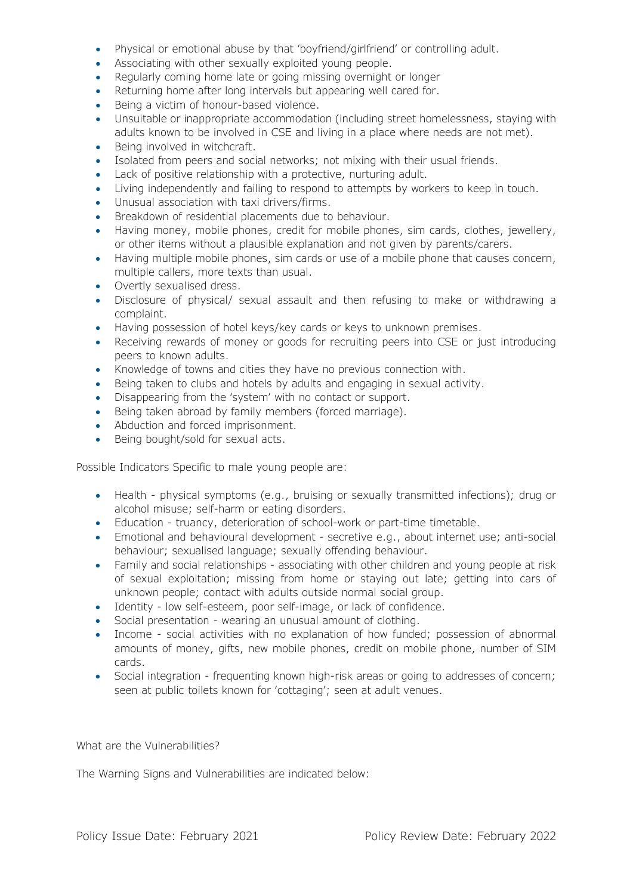- Physical or emotional abuse by that 'boyfriend/girlfriend' or controlling adult.
- Associating with other sexually exploited young people.
- Regularly coming home late or going missing overnight or longer
- Returning home after long intervals but appearing well cared for.
- Being a victim of honour-based violence.
- Unsuitable or inappropriate accommodation (including street homelessness, staying with adults known to be involved in CSE and living in a place where needs are not met).
- Being involved in witchcraft.
- Isolated from peers and social networks; not mixing with their usual friends.
- Lack of positive relationship with a protective, nurturing adult.
- Living independently and failing to respond to attempts by workers to keep in touch.
- Unusual association with taxi drivers/firms.
- Breakdown of residential placements due to behaviour.
- Having money, mobile phones, credit for mobile phones, sim cards, clothes, jewellery, or other items without a plausible explanation and not given by parents/carers.
- Having multiple mobile phones, sim cards or use of a mobile phone that causes concern, multiple callers, more texts than usual.
- Overtly sexualised dress.
- Disclosure of physical/ sexual assault and then refusing to make or withdrawing a complaint.
- Having possession of hotel keys/key cards or keys to unknown premises.
- Receiving rewards of money or goods for recruiting peers into CSE or just introducing peers to known adults.
- Knowledge of towns and cities they have no previous connection with.
- Being taken to clubs and hotels by adults and engaging in sexual activity.
- Disappearing from the 'system' with no contact or support.
- Being taken abroad by family members (forced marriage).
- Abduction and forced imprisonment.
- Being bought/sold for sexual acts.

Possible Indicators Specific to male young people are:

- Health physical symptoms (e.g., bruising or sexually transmitted infections); drug or alcohol misuse; self-harm or eating disorders.
- Education truancy, deterioration of school-work or part-time timetable.
- Emotional and behavioural development secretive e.g., about internet use; anti-social behaviour; sexualised language; sexually offending behaviour.
- Family and social relationships associating with other children and young people at risk of sexual exploitation; missing from home or staying out late; getting into cars of unknown people; contact with adults outside normal social group.
- Identity low self-esteem, poor self-image, or lack of confidence.
- Social presentation wearing an unusual amount of clothing.
- Income social activities with no explanation of how funded; possession of abnormal amounts of money, gifts, new mobile phones, credit on mobile phone, number of SIM cards.
- Social integration frequenting known high-risk areas or going to addresses of concern; seen at public toilets known for 'cottaging'; seen at adult venues.

What are the Vulnerabilities?

The Warning Signs and Vulnerabilities are indicated below: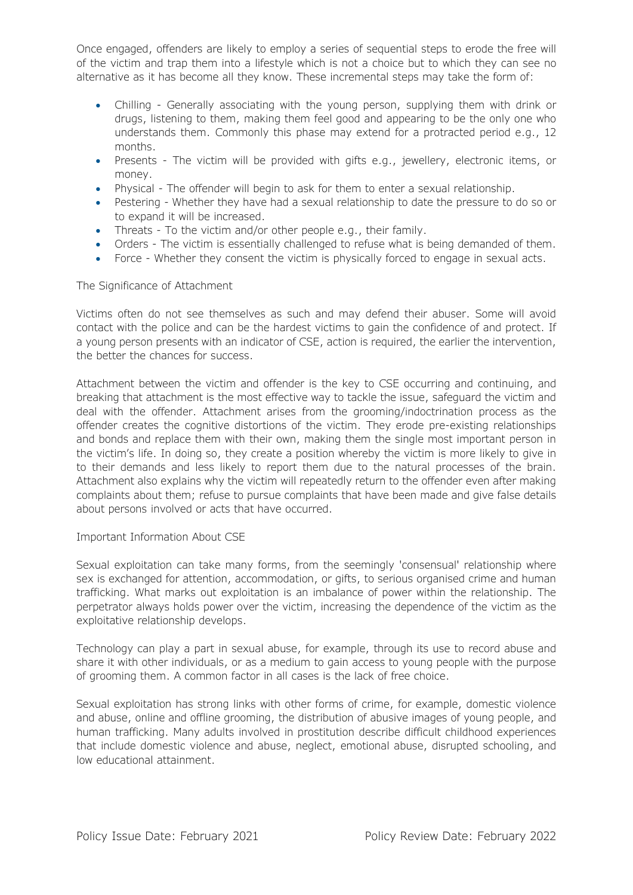Once engaged, offenders are likely to employ a series of sequential steps to erode the free will of the victim and trap them into a lifestyle which is not a choice but to which they can see no alternative as it has become all they know. These incremental steps may take the form of:

- Chilling Generally associating with the young person, supplying them with drink or drugs, listening to them, making them feel good and appearing to be the only one who understands them. Commonly this phase may extend for a protracted period e.g., 12 months.
- Presents The victim will be provided with gifts e.g., jewellery, electronic items, or money.
- Physical The offender will begin to ask for them to enter a sexual relationship.
- Pestering Whether they have had a sexual relationship to date the pressure to do so or to expand it will be increased.
- Threats To the victim and/or other people e.g., their family.
- Orders The victim is essentially challenged to refuse what is being demanded of them.
- Force Whether they consent the victim is physically forced to engage in sexual acts.

The Significance of Attachment

Victims often do not see themselves as such and may defend their abuser. Some will avoid contact with the police and can be the hardest victims to gain the confidence of and protect. If a young person presents with an indicator of CSE, action is required, the earlier the intervention, the better the chances for success.

Attachment between the victim and offender is the key to CSE occurring and continuing, and breaking that attachment is the most effective way to tackle the issue, safeguard the victim and deal with the offender. Attachment arises from the grooming/indoctrination process as the offender creates the cognitive distortions of the victim. They erode pre-existing relationships and bonds and replace them with their own, making them the single most important person in the victim's life. In doing so, they create a position whereby the victim is more likely to give in to their demands and less likely to report them due to the natural processes of the brain. Attachment also explains why the victim will repeatedly return to the offender even after making complaints about them; refuse to pursue complaints that have been made and give false details about persons involved or acts that have occurred.

### Important Information About CSE

Sexual exploitation can take many forms, from the seemingly 'consensual' relationship where sex is exchanged for attention, accommodation, or gifts, to serious organised crime and human trafficking. What marks out exploitation is an imbalance of power within the relationship. The perpetrator always holds power over the victim, increasing the dependence of the victim as the exploitative relationship develops.

Technology can play a part in sexual abuse, for example, through its use to record abuse and share it with other individuals, or as a medium to gain access to young people with the purpose of grooming them. A common factor in all cases is the lack of free choice.

Sexual exploitation has strong links with other forms of crime, for example, domestic violence and abuse, online and offline grooming, the distribution of abusive images of young people, and human trafficking. Many adults involved in prostitution describe difficult childhood experiences that include domestic violence and abuse, neglect, emotional abuse, disrupted schooling, and low educational attainment.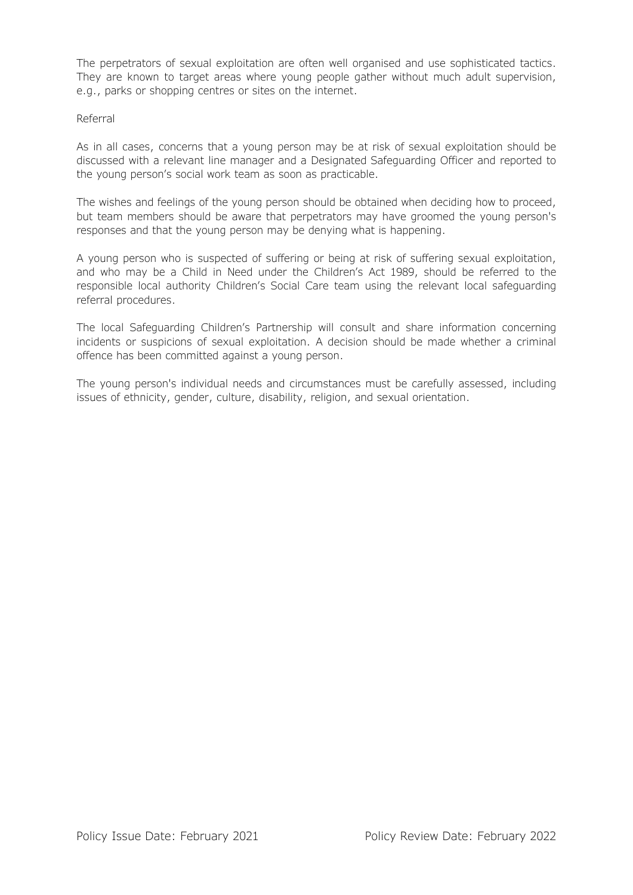The perpetrators of sexual exploitation are often well organised and use sophisticated tactics. They are known to target areas where young people gather without much adult supervision, e.g., parks or shopping centres or sites on the internet.

### Referral

As in all cases, concerns that a young person may be at risk of sexual exploitation should be discussed with a relevant line manager and a Designated Safeguarding Officer and reported to the young person's social work team as soon as practicable.

The wishes and feelings of the young person should be obtained when deciding how to proceed, but team members should be aware that perpetrators may have groomed the young person's responses and that the young person may be denying what is happening.

A young person who is suspected of suffering or being at risk of suffering sexual exploitation, and who may be a Child in Need under the Children's Act 1989, should be referred to the responsible local authority Children's Social Care team using the relevant local safeguarding referral procedures.

The local Safeguarding Children's Partnership will consult and share information concerning incidents or suspicions of sexual exploitation. A decision should be made whether a criminal offence has been committed against a young person.

The young person's individual needs and circumstances must be carefully assessed, including issues of ethnicity, gender, culture, disability, religion, and sexual orientation.